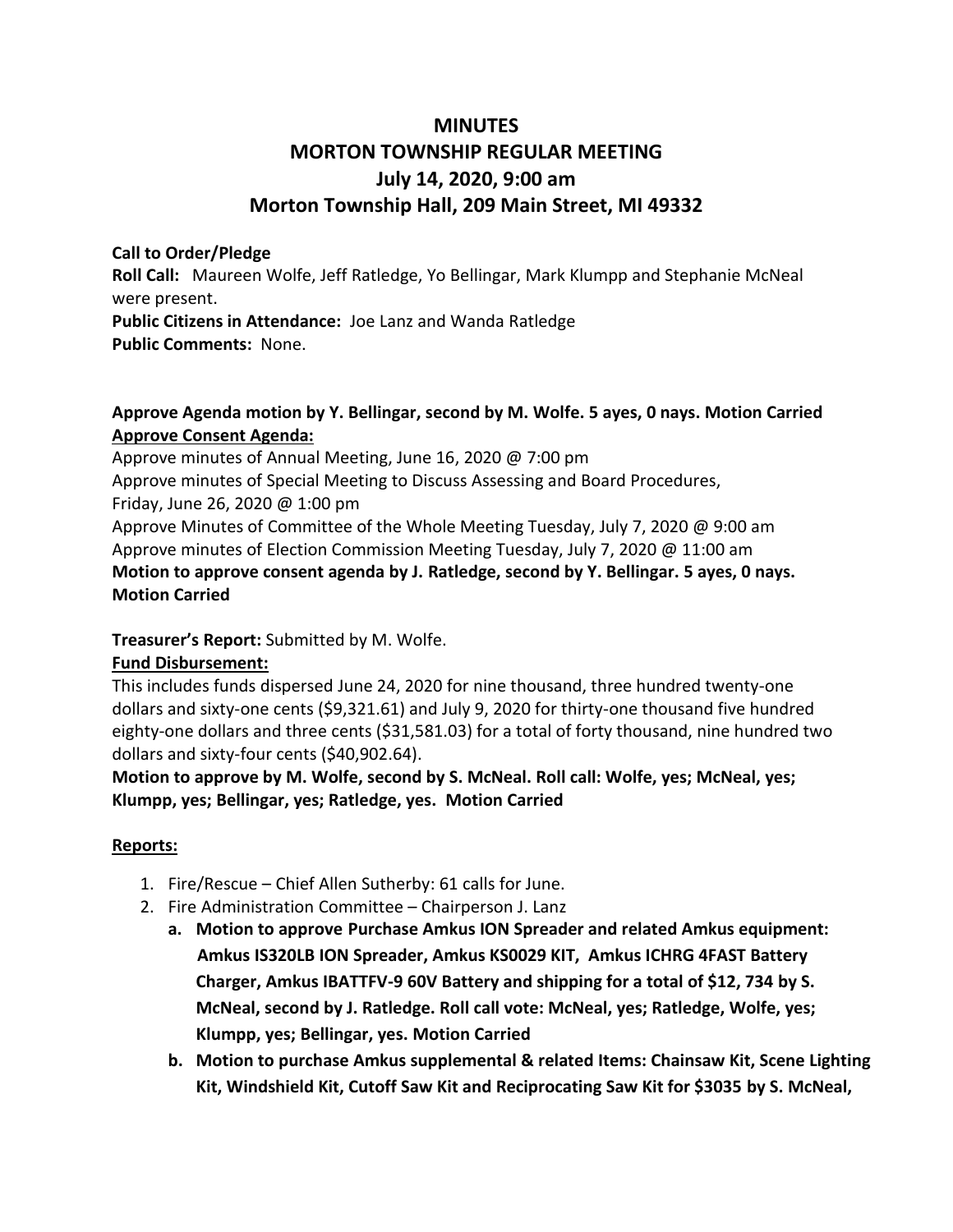# **MINUTES MORTON TOWNSHIP REGULAR MEETING July 14, 2020, 9:00 am Morton Township Hall, 209 Main Street, MI 49332**

#### **Call to Order/Pledge**

**Roll Call:** Maureen Wolfe, Jeff Ratledge, Yo Bellingar, Mark Klumpp and Stephanie McNeal were present.

**Public Citizens in Attendance:** Joe Lanz and Wanda Ratledge **Public Comments:** None.

## **Approve Agenda motion by Y. Bellingar, second by M. Wolfe. 5 ayes, 0 nays. Motion Carried Approve Consent Agenda:**

Approve minutes of Annual Meeting, June 16, 2020 @ 7:00 pm Approve minutes of Special Meeting to Discuss Assessing and Board Procedures, Friday, June 26, 2020 @ 1:00 pm Approve Minutes of Committee of the Whole Meeting Tuesday, July 7, 2020 @ 9:00 am Approve minutes of Election Commission Meeting Tuesday, July 7, 2020 @ 11:00 am **Motion to approve consent agenda by J. Ratledge, second by Y. Bellingar. 5 ayes, 0 nays. Motion Carried**

## **Treasurer's Report:** Submitted by M. Wolfe.

## **Fund Disbursement:**

This includes funds dispersed June 24, 2020 for nine thousand, three hundred twenty-one dollars and sixty-one cents (\$9,321.61) and July 9, 2020 for thirty-one thousand five hundred eighty-one dollars and three cents (\$31,581.03) for a total of forty thousand, nine hundred two dollars and sixty-four cents (\$40,902.64).

**Motion to approve by M. Wolfe, second by S. McNeal. Roll call: Wolfe, yes; McNeal, yes; Klumpp, yes; Bellingar, yes; Ratledge, yes. Motion Carried**

## **Reports:**

- 1. Fire/Rescue Chief Allen Sutherby: 61 calls for June.
- 2. Fire Administration Committee Chairperson J. Lanz
	- **a. Motion to approve Purchase Amkus ION Spreader and related Amkus equipment: Amkus IS320LB ION Spreader, Amkus KS0029 KIT, Amkus ICHRG 4FAST Battery Charger, Amkus IBATTFV-9 60V Battery and shipping for a total of \$12, 734 by S. McNeal, second by J. Ratledge. Roll call vote: McNeal, yes; Ratledge, Wolfe, yes; Klumpp, yes; Bellingar, yes. Motion Carried**
	- **b. Motion to purchase Amkus supplemental & related Items: Chainsaw Kit, Scene Lighting Kit, Windshield Kit, Cutoff Saw Kit and Reciprocating Saw Kit for \$3035 by S. McNeal,**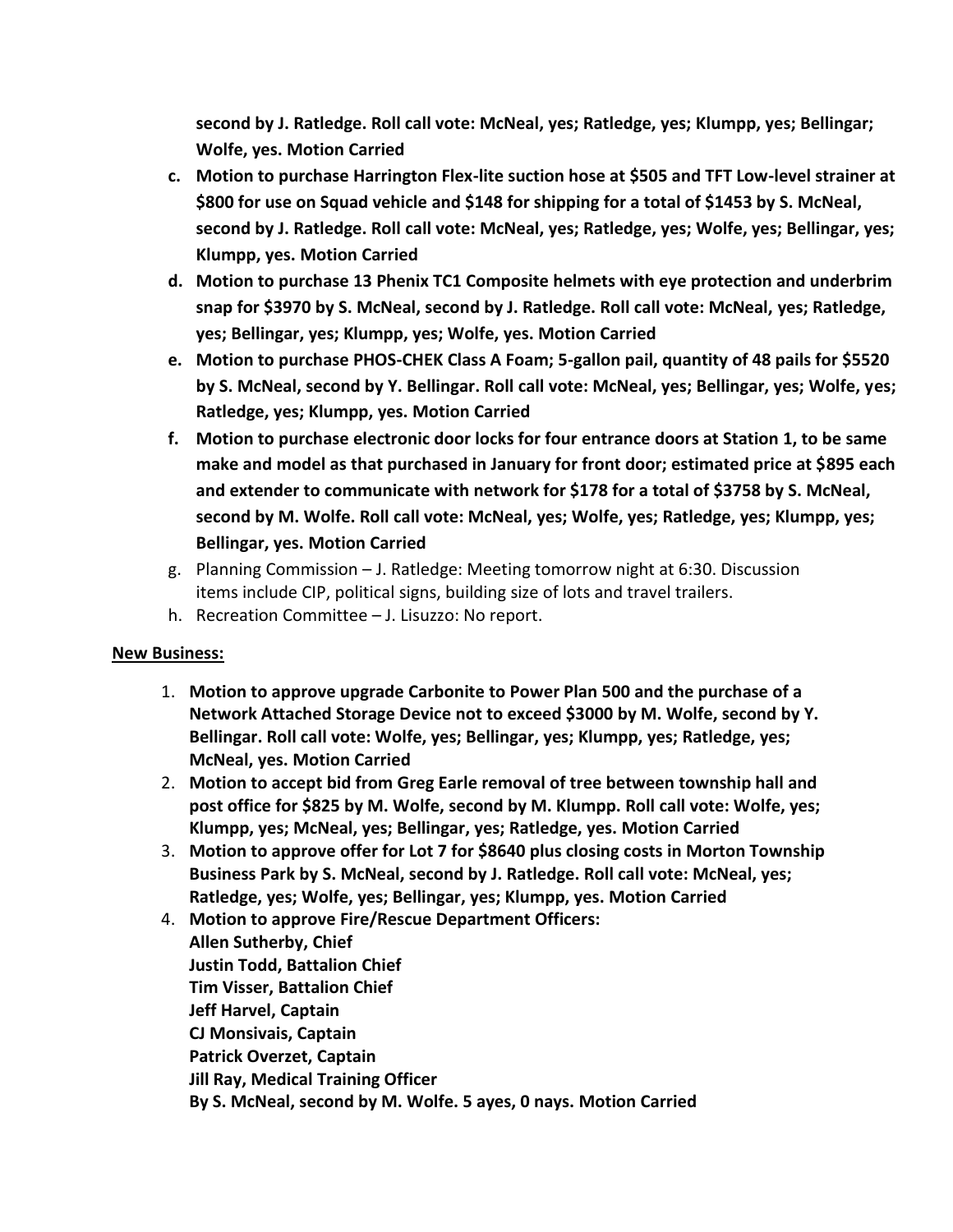**second by J. Ratledge. Roll call vote: McNeal, yes; Ratledge, yes; Klumpp, yes; Bellingar; Wolfe, yes. Motion Carried**

- **c. Motion to purchase Harrington Flex-lite suction hose at \$505 and TFT Low-level strainer at \$800 for use on Squad vehicle and \$148 for shipping for a total of \$1453 by S. McNeal, second by J. Ratledge. Roll call vote: McNeal, yes; Ratledge, yes; Wolfe, yes; Bellingar, yes; Klumpp, yes. Motion Carried**
- **d. Motion to purchase 13 Phenix TC1 Composite helmets with eye protection and underbrim snap for \$3970 by S. McNeal, second by J. Ratledge. Roll call vote: McNeal, yes; Ratledge, yes; Bellingar, yes; Klumpp, yes; Wolfe, yes. Motion Carried**
- **e. Motion to purchase PHOS-CHEK Class A Foam; 5-gallon pail, quantity of 48 pails for \$5520 by S. McNeal, second by Y. Bellingar. Roll call vote: McNeal, yes; Bellingar, yes; Wolfe, yes; Ratledge, yes; Klumpp, yes. Motion Carried**
- **f. Motion to purchase electronic door locks for four entrance doors at Station 1, to be same make and model as that purchased in January for front door; estimated price at \$895 each and extender to communicate with network for \$178 for a total of \$3758 by S. McNeal, second by M. Wolfe. Roll call vote: McNeal, yes; Wolfe, yes; Ratledge, yes; Klumpp, yes; Bellingar, yes. Motion Carried**
- g. Planning Commission J. Ratledge: Meeting tomorrow night at 6:30. Discussion items include CIP, political signs, building size of lots and travel trailers.
- h. Recreation Committee J. Lisuzzo: No report.

#### **New Business:**

- 1. **Motion to approve upgrade Carbonite to Power Plan 500 and the purchase of a Network Attached Storage Device not to exceed \$3000 by M. Wolfe, second by Y. Bellingar. Roll call vote: Wolfe, yes; Bellingar, yes; Klumpp, yes; Ratledge, yes; McNeal, yes. Motion Carried**
- 2. **Motion to accept bid from Greg Earle removal of tree between township hall and post office for \$825 by M. Wolfe, second by M. Klumpp. Roll call vote: Wolfe, yes; Klumpp, yes; McNeal, yes; Bellingar, yes; Ratledge, yes. Motion Carried**
- 3. **Motion to approve offer for Lot 7 for \$8640 plus closing costs in Morton Township Business Park by S. McNeal, second by J. Ratledge. Roll call vote: McNeal, yes; Ratledge, yes; Wolfe, yes; Bellingar, yes; Klumpp, yes. Motion Carried**
- 4. **Motion to approve Fire/Rescue Department Officers: Allen Sutherby, Chief Justin Todd, Battalion Chief Tim Visser, Battalion Chief Jeff Harvel, Captain CJ Monsivais, Captain Patrick Overzet, Captain Jill Ray, Medical Training Officer By S. McNeal, second by M. Wolfe. 5 ayes, 0 nays. Motion Carried**